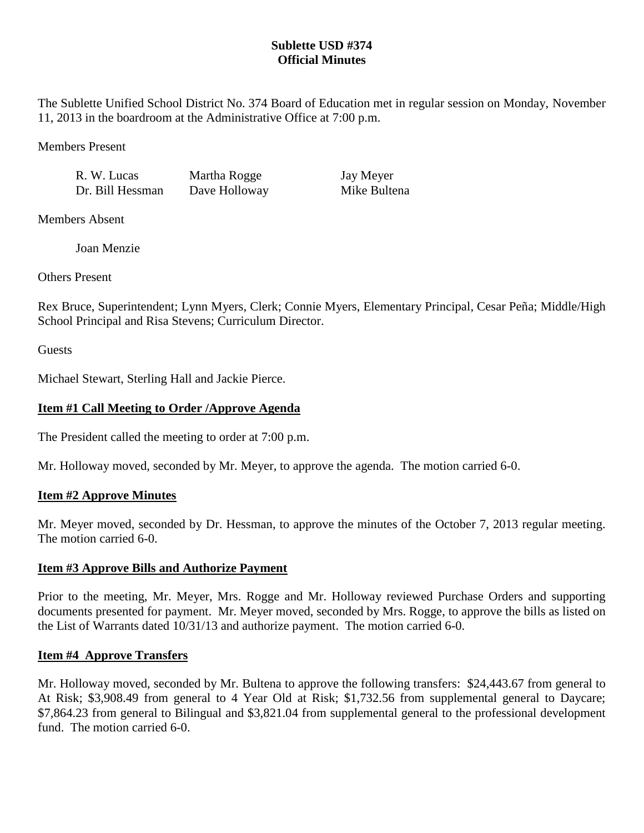# **Sublette USD #374 Official Minutes**

The Sublette Unified School District No. 374 Board of Education met in regular session on Monday, November 11, 2013 in the boardroom at the Administrative Office at 7:00 p.m.

Members Present

R. W. Lucas Martha Rogge Jay Meyer Dr. Bill Hessman Dave Holloway Mike Bultena

Members Absent

Joan Menzie

Others Present

Rex Bruce, Superintendent; Lynn Myers, Clerk; Connie Myers, Elementary Principal, Cesar Peña; Middle/High School Principal and Risa Stevens; Curriculum Director.

**Guests** 

Michael Stewart, Sterling Hall and Jackie Pierce.

# **Item #1 Call Meeting to Order /Approve Agenda**

The President called the meeting to order at 7:00 p.m.

Mr. Holloway moved, seconded by Mr. Meyer, to approve the agenda. The motion carried 6-0.

# **Item #2 Approve Minutes**

Mr. Meyer moved, seconded by Dr. Hessman, to approve the minutes of the October 7, 2013 regular meeting. The motion carried 6-0.

# **Item #3 Approve Bills and Authorize Payment**

Prior to the meeting, Mr. Meyer, Mrs. Rogge and Mr. Holloway reviewed Purchase Orders and supporting documents presented for payment. Mr. Meyer moved, seconded by Mrs. Rogge, to approve the bills as listed on the List of Warrants dated 10/31/13 and authorize payment. The motion carried 6-0.

# **Item #4 Approve Transfers**

Mr. Holloway moved, seconded by Mr. Bultena to approve the following transfers: \$24,443.67 from general to At Risk; \$3,908.49 from general to 4 Year Old at Risk; \$1,732.56 from supplemental general to Daycare; \$7,864.23 from general to Bilingual and \$3,821.04 from supplemental general to the professional development fund. The motion carried 6-0.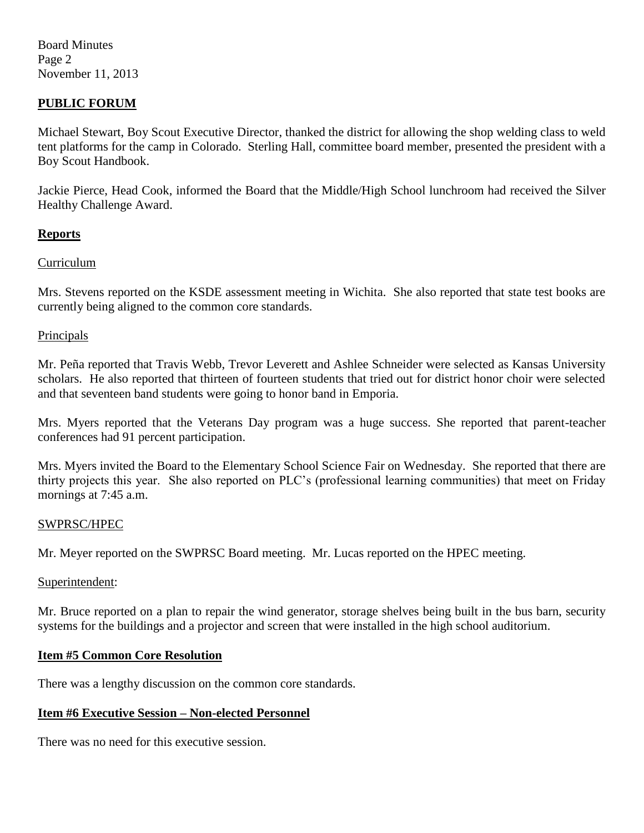Board Minutes Page 2 November 11, 2013

## **PUBLIC FORUM**

Michael Stewart, Boy Scout Executive Director, thanked the district for allowing the shop welding class to weld tent platforms for the camp in Colorado. Sterling Hall, committee board member, presented the president with a Boy Scout Handbook.

Jackie Pierce, Head Cook, informed the Board that the Middle/High School lunchroom had received the Silver Healthy Challenge Award.

## **Reports**

## Curriculum

Mrs. Stevens reported on the KSDE assessment meeting in Wichita. She also reported that state test books are currently being aligned to the common core standards.

### Principals

Mr. Peña reported that Travis Webb, Trevor Leverett and Ashlee Schneider were selected as Kansas University scholars. He also reported that thirteen of fourteen students that tried out for district honor choir were selected and that seventeen band students were going to honor band in Emporia.

Mrs. Myers reported that the Veterans Day program was a huge success. She reported that parent-teacher conferences had 91 percent participation.

Mrs. Myers invited the Board to the Elementary School Science Fair on Wednesday. She reported that there are thirty projects this year. She also reported on PLC's (professional learning communities) that meet on Friday mornings at 7:45 a.m.

### SWPRSC/HPEC

Mr. Meyer reported on the SWPRSC Board meeting. Mr. Lucas reported on the HPEC meeting.

### Superintendent:

Mr. Bruce reported on a plan to repair the wind generator, storage shelves being built in the bus barn, security systems for the buildings and a projector and screen that were installed in the high school auditorium.

## **Item #5 Common Core Resolution**

There was a lengthy discussion on the common core standards.

## **Item #6 Executive Session – Non-elected Personnel**

There was no need for this executive session.